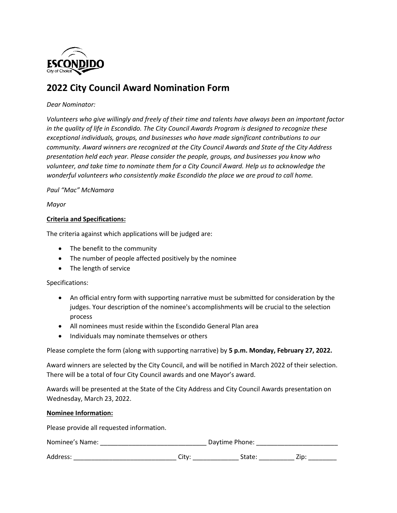

# **2022 City Council Award Nomination Form**

### *Dear Nominator:*

*Volunteers who give willingly and freely of their time and talents have always been an important factor in the quality of life in Escondido. The City Council Awards Program is designed to recognize these exceptional individuals, groups, and businesses who have made significant contributions to our community. Award winners are recognized at the City Council Awards and State of the City Address presentation held each year. Please consider the people, groups, and businesses you know who volunteer, and take time to nominate them for a City Council Award. Help us to acknowledge the wonderful volunteers who consistently make Escondido the place we are proud to call home.*

#### *Paul "Mac" McNamara*

*Mayor*

## **Criteria and Specifications:**

The criteria against which applications will be judged are:

- The benefit to the community
- The number of people affected positively by the nominee
- The length of service

#### Specifications:

- An official entry form with supporting narrative must be submitted for consideration by the judges. Your description of the nominee's accomplishments will be crucial to the selection process
- All nominees must reside within the Escondido General Plan area
- Individuals may nominate themselves or others

Please complete the form (along with supporting narrative) by **5 p.m. Monday, February 27, 2022.**

Award winners are selected by the City Council, and will be notified in March 2022 of their selection. There will be a total of four City Council awards and one Mayor's award.

Awards will be presented at the State of the City Address and City Council Awards presentation on Wednesday, March 23, 2022.

#### **Nominee Information:**

Please provide all requested information.

| Nominee's Name: | Daytime Phone: |
|-----------------|----------------|
| Address:        | Zip:           |
| Citv            | State:         |